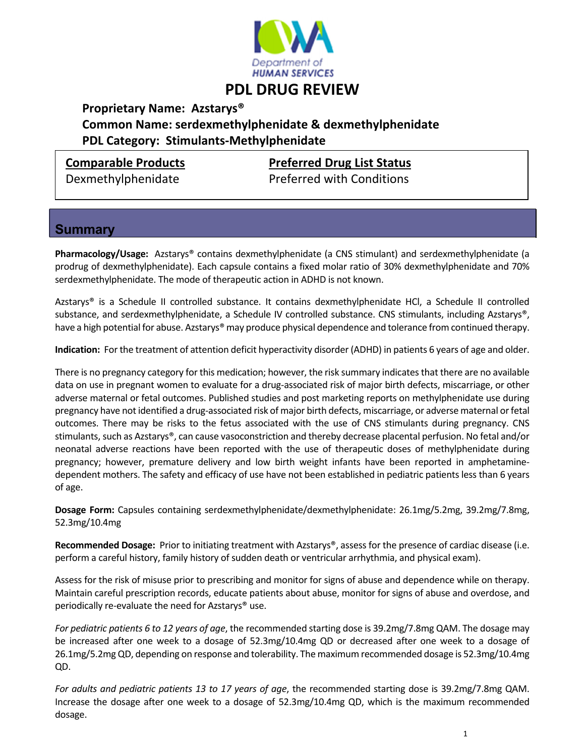

## **PDL DRUG REVIEW**

 **Proprietary Name: Azstarys® Common Name: serdexmethylphenidate & dexmethylphenidate PDL Category: Stimulants‐Methylphenidate**

**Comparable Products Preferred Drug List Status**

Dexmethylphenidate **Breferred with Conditions** 

### **Summary**

**Pharmacology/Usage:** Azstarys® contains dexmethylphenidate (a CNS stimulant) and serdexmethylphenidate (a prodrug of dexmethylphenidate). Each capsule contains a fixed molar ratio of 30% dexmethylphenidate and 70% serdexmethylphenidate. The mode of therapeutic action in ADHD is not known.

Azstarys® is a Schedule II controlled substance. It contains dexmethylphenidate HCl, a Schedule II controlled substance, and serdexmethylphenidate, a Schedule IV controlled substance. CNS stimulants, including Azstarys®, have a high potential for abuse. Azstarys® may produce physical dependence and tolerance from continued therapy.

**Indication:** For the treatment of attention deficit hyperactivity disorder (ADHD) in patients 6 years of age and older.

There is no pregnancy category for this medication; however, the risk summary indicates that there are no available data on use in pregnant women to evaluate for a drug‐associated risk of major birth defects, miscarriage, or other adverse maternal or fetal outcomes. Published studies and post marketing reports on methylphenidate use during pregnancy have not identified a drug-associated risk of major birth defects, miscarriage, or adverse maternal or fetal outcomes. There may be risks to the fetus associated with the use of CNS stimulants during pregnancy. CNS stimulants, such as Azstarys®, can cause vasoconstriction and thereby decrease placental perfusion. No fetal and/or neonatal adverse reactions have been reported with the use of therapeutic doses of methylphenidate during pregnancy; however, premature delivery and low birth weight infants have been reported in amphetamine‐ dependent mothers. The safety and efficacy of use have not been established in pediatric patients less than 6 years of age.

**Dosage Form:** Capsules containing serdexmethylphenidate/dexmethylphenidate: 26.1mg/5.2mg, 39.2mg/7.8mg, 52.3mg/10.4mg

**Recommended Dosage:** Prior to initiating treatment with Azstarys®, assess for the presence of cardiac disease (i.e. perform a careful history, family history of sudden death or ventricular arrhythmia, and physical exam).

Assess for the risk of misuse prior to prescribing and monitor for signs of abuse and dependence while on therapy. Maintain careful prescription records, educate patients about abuse, monitor for signs of abuse and overdose, and periodically re-evaluate the need for Azstarys® use.

*For pediatric patients 6 to 12 years of age*, the recommended starting dose is 39.2mg/7.8mg QAM. The dosage may be increased after one week to a dosage of 52.3mg/10.4mg QD or decreased after one week to a dosage of 26.1mg/5.2mgQD, depending on response and tolerability. The maximumrecommended dosage is 52.3mg/10.4mg QD.

*For adults and pediatric patients 13 to 17 years of age*, the recommended starting dose is 39.2mg/7.8mg QAM. Increase the dosage after one week to a dosage of 52.3mg/10.4mg QD, which is the maximum recommended dosage.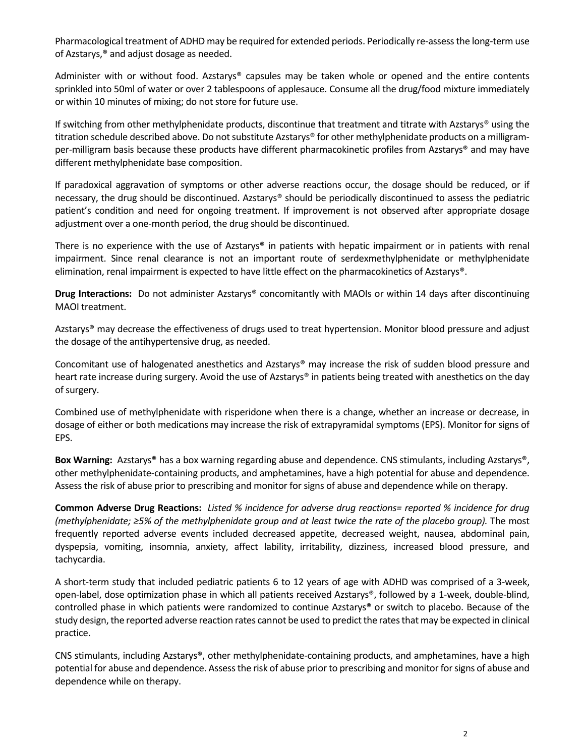Pharmacological treatment of ADHD may be required for extended periods. Periodically re-assess the long-term use of Azstarys,® and adjust dosage as needed.

Administer with or without food. Azstarys® capsules may be taken whole or opened and the entire contents sprinkled into 50ml of water or over 2 tablespoons of applesauce. Consume all the drug/food mixture immediately or within 10 minutes of mixing; do not store for future use.

If switching from other methylphenidate products, discontinue that treatment and titrate with Azstarys® using the titration schedule described above. Do not substitute Azstarys® for other methylphenidate products on a milligramper‐milligram basis because these products have different pharmacokinetic profiles from Azstarys® and may have different methylphenidate base composition.

If paradoxical aggravation of symptoms or other adverse reactions occur, the dosage should be reduced, or if necessary, the drug should be discontinued. Azstarys® should be periodically discontinued to assess the pediatric patient's condition and need for ongoing treatment. If improvement is not observed after appropriate dosage adjustment over a one‐month period, the drug should be discontinued.

There is no experience with the use of Azstarys<sup>®</sup> in patients with hepatic impairment or in patients with renal impairment. Since renal clearance is not an important route of serdexmethylphenidate or methylphenidate elimination, renal impairment is expected to have little effect on the pharmacokinetics of Azstarys®.

**Drug Interactions:** Do not administer Azstarys® concomitantly with MAOIs or within 14 days after discontinuing MAOI treatment.

Azstarys® may decrease the effectiveness of drugs used to treat hypertension. Monitor blood pressure and adjust the dosage of the antihypertensive drug, as needed.

Concomitant use of halogenated anesthetics and Azstarys® may increase the risk of sudden blood pressure and heart rate increase during surgery. Avoid the use of Azstarys® in patients being treated with anesthetics on the day of surgery.

Combined use of methylphenidate with risperidone when there is a change, whether an increase or decrease, in dosage of either or both medications may increase the risk of extrapyramidal symptoms (EPS). Monitor for signs of EPS.

**Box Warning:** Azstarys® has a box warning regarding abuse and dependence. CNS stimulants, including Azstarys®, other methylphenidate‐containing products, and amphetamines, have a high potential for abuse and dependence. Assess the risk of abuse prior to prescribing and monitor for signs of abuse and dependence while on therapy.

Common Adverse Drug Reactions: Listed % incidence for adverse drug reactions= reported % incidence for drug (methylphenidate;  $\geq$ 5% of the methylphenidate group and at least twice the rate of the placebo group). The most frequently reported adverse events included decreased appetite, decreased weight, nausea, abdominal pain, dyspepsia, vomiting, insomnia, anxiety, affect lability, irritability, dizziness, increased blood pressure, and tachycardia.

A short-term study that included pediatric patients 6 to 12 years of age with ADHD was comprised of a 3-week, open-label, dose optimization phase in which all patients received Azstarys®, followed by a 1-week, double-blind, controlled phase in which patients were randomized to continue Azstarys® or switch to placebo. Because of the study design, the reported adverse reaction rates cannot be used to predict the rates that may be expected in clinical practice.

CNS stimulants, including Azstarys®, other methylphenidate‐containing products, and amphetamines, have a high potential for abuse and dependence. Assess the risk of abuse prior to prescribing and monitor for signs of abuse and dependence while on therapy.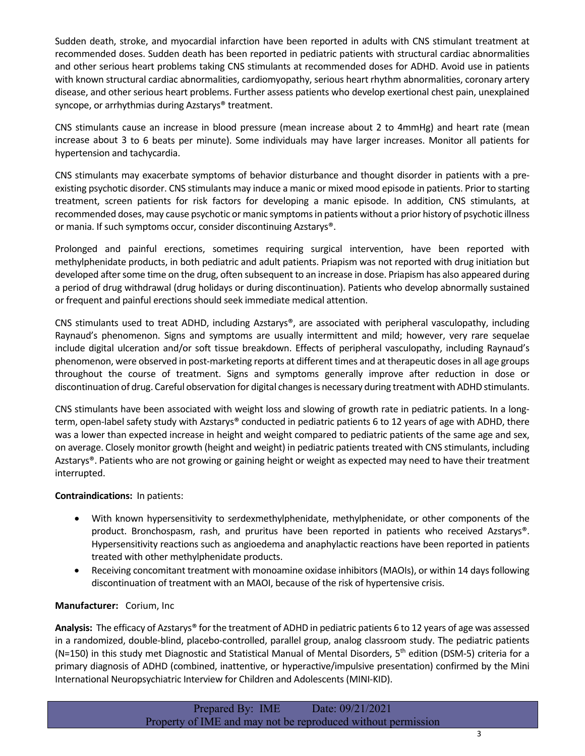Sudden death, stroke, and myocardial infarction have been reported in adults with CNS stimulant treatment at recommended doses. Sudden death has been reported in pediatric patients with structural cardiac abnormalities and other serious heart problems taking CNS stimulants at recommended doses for ADHD. Avoid use in patients with known structural cardiac abnormalities, cardiomyopathy, serious heart rhythm abnormalities, coronary artery disease, and other serious heart problems. Further assess patients who develop exertional chest pain, unexplained syncope, or arrhythmias during Azstarys® treatment.

CNS stimulants cause an increase in blood pressure (mean increase about 2 to 4mmHg) and heart rate (mean increase about 3 to 6 beats per minute). Some individuals may have larger increases. Monitor all patients for hypertension and tachycardia.

CNS stimulants may exacerbate symptoms of behavior disturbance and thought disorder in patients with a pre‐ existing psychotic disorder. CNS stimulants may induce a manic or mixed mood episode in patients. Prior to starting treatment, screen patients for risk factors for developing a manic episode. In addition, CNS stimulants, at recommended doses, may cause psychotic or manic symptomsin patients without a prior history of psychotic illness or mania. If such symptoms occur, consider discontinuing Azstarys®.

Prolonged and painful erections, sometimes requiring surgical intervention, have been reported with methylphenidate products, in both pediatric and adult patients. Priapism was not reported with drug initiation but developed after some time on the drug, often subsequent to an increase in dose. Priapism has also appeared during a period of drug withdrawal (drug holidays or during discontinuation). Patients who develop abnormally sustained or frequent and painful erections should seek immediate medical attention.

CNS stimulants used to treat ADHD, including Azstarys®, are associated with peripheral vasculopathy, including Raynaud's phenomenon. Signs and symptoms are usually intermittent and mild; however, very rare sequelae include digital ulceration and/or soft tissue breakdown. Effects of peripheral vasculopathy, including Raynaud's phenomenon, were observed in post‐marketing reports at different times and at therapeutic dosesin all age groups throughout the course of treatment. Signs and symptoms generally improve after reduction in dose or discontinuation of drug. Careful observation for digital changesis necessary during treatment with ADHD stimulants.

CNS stimulants have been associated with weight loss and slowing of growth rate in pediatric patients. In a long‐ term, open-label safety study with Azstarys® conducted in pediatric patients 6 to 12 years of age with ADHD, there was a lower than expected increase in height and weight compared to pediatric patients of the same age and sex, on average. Closely monitor growth (height and weight) in pediatric patients treated with CNS stimulants, including Azstarys®. Patients who are not growing or gaining height or weight as expected may need to have their treatment interrupted.

#### **Contraindications:** In patients:

- With known hypersensitivity to serdexmethylphenidate, methylphenidate, or other components of the product. Bronchospasm, rash, and pruritus have been reported in patients who received Azstarys®. Hypersensitivity reactions such as angioedema and anaphylactic reactions have been reported in patients treated with other methylphenidate products.
- Receiving concomitant treatment with monoamine oxidase inhibitors(MAOIs), or within 14 daysfollowing discontinuation of treatment with an MAOI, because of the risk of hypertensive crisis.

#### **Manufacturer:** Corium, Inc

Analysis: The efficacy of Azstarys<sup>®</sup> for the treatment of ADHD in pediatric patients 6 to 12 years of age was assessed in a randomized, double‐blind, placebo‐controlled, parallel group, analog classroom study. The pediatric patients (N=150) in this study met Diagnostic and Statistical Manual of Mental Disorders,  $5<sup>th</sup>$  edition (DSM-5) criteria for a primary diagnosis of ADHD (combined, inattentive, or hyperactive/impulsive presentation) confirmed by the Mini International Neuropsychiatric Interview for Children and Adolescents (MINI‐KID).